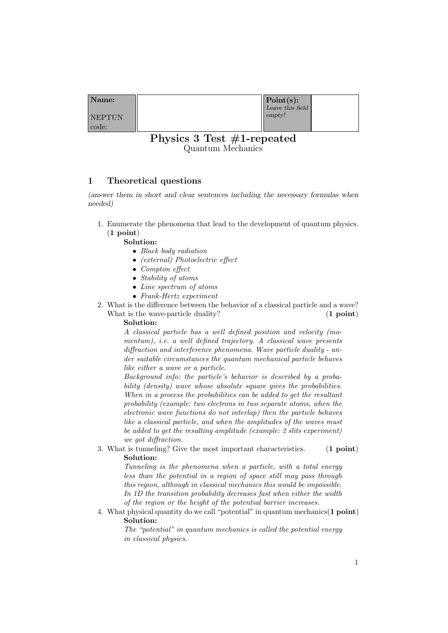| Name:         | $\vert$ Point $(s)$ : |  |
|---------------|-----------------------|--|
|               | Leave this field      |  |
| <b>NEPTUN</b> | empty!                |  |
| code:         |                       |  |

# Physics 3 Test #1-repeated Quantum Mechanics

# 1 Theoretical questions

(answer them in short and clear sentences including the necessary formulas when needed)

1. Enumerate the phenomena that lead to the development of quantum physics. (1 point)

Solution:

- Black body radiation
- (external) Photoelectric effect
- Compton effect
- Stability of atoms
- Line spectrum of atoms
- Frank-Hertz experiment
- 2. What is the difference between the behavior of a classical particle and a wave? What is the wave-particle duality? (1 point)

Solution:

A classical particle has a well defined position and velocity (momentum), *i.e.* a well defined trajectory. A classical wave presents diffraction and interference phenomena. Wave particle duality - under suitable circumstances the quantum mechanical particle behaves like either a wave or a particle.

Background info: the particle's behavior is described by a probability (density) wave whose absolute square gives the probabilities. When in a process the probabilities can be added to get the resultant probability (example: two electrons in two separate atoms, when the electronic wave functions do not interlap) then the particle behaves like a classical particle, and when the amplitudes of the waves must be added to get the resulting amplitude (example: 2 slits experiment) we got diffraction.

3. What is tunneling? Give the most important characteristics. (1 point) Solution:

> Tunneling is the phenomena when a particle, with a total energy less than the potential in a region of space still may pass through this region, although in classical mechanics this would be impossible. In 1D the transition probability decreases fast when either the width of the region or the height of the potential barrier increases.

4. What physical quantity do we call "potential" in quantum mechanics(1 point) Solution:

> The "potential" in quantum mechanics is called the potential energy in classical physics.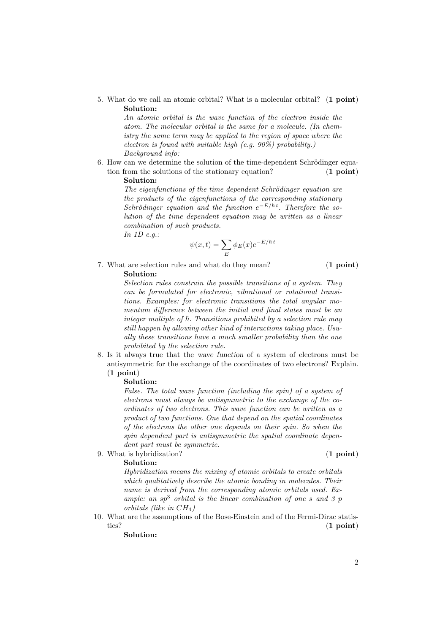5. What do we call an atomic orbital? What is a molecular orbital? (1 point) Solution:

> An atomic orbital is the wave function of the electron inside the atom. The molecular orbital is the same for a molecule. (In chemistry the same term may be applied to the region of space where the electron is found with suitable high  $(e.g. 90\%)$  probability.) Background info:

6. How can we determine the solution of the time-dependent Schrödinger equation from the solutions of the stationary equation? (1 point) Solution:

> The eigenfunctions of the time dependent Schrödinger equation are the products of the eigenfunctions of the corresponding stationary Schrödinger equation and the function  $e^{-E/\hbar t}$ . Therefore the solution of the time dependent equation may be written as a linear combination of such products.

In 1D e.g.:

$$
\psi(x,t) = \sum_E \phi_E(x) e^{-E/\hbar t}
$$

7. What are selection rules and what do they mean? (1 point)

## Solution:

Selection rules constrain the possible transitions of a system. They can be formulated for electronic, vibrational or rotational transitions. Examples: for electronic transitions the total angular momentum difference between the initial and final states must be an integer multiple of  $\hbar$ . Transitions prohibited by a selection rule may still happen by allowing other kind of interactions taking place. Usually these transitions have a much smaller probability than the one prohibited by the selection rule.

8. Is it always true that the wave function of a system of electrons must be antisymmetric for the exchange of the coordinates of two electrons? Explain. (1 point)

#### Solution:

False. The total wave function (including the spin) of a system of electrons must always be antisymmetric to the exchange of the coordinates of two electrons. This wave function can be written as a product of two functions. One that depend on the spatial coordinates of the electrons the other one depends on their spin. So when the spin dependent part is antisymmetric the spatial coordinate dependent part must be symmetric.

9. What is hybridization? (1 point)

#### Solution:

Hybridization means the mixing of atomic orbitals to create orbitals which qualitatively describe the atomic bonding in molecules. Their name is derived from the corresponding atomic orbitals used. Example: an  $sp^3$  orbital is the linear combination of one s and 3 p orbitals (like in  $CH<sub>4</sub>$ )

10. What are the assumptions of the Bose-Einstein and of the Fermi-Dirac statistics? (1 point)

Solution: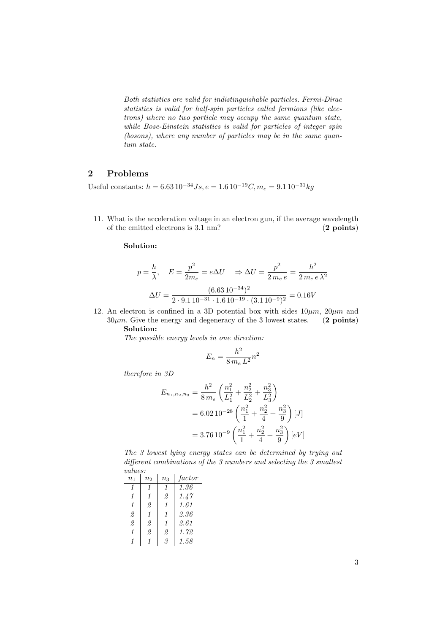Both statistics are valid for indistinguishable particles. Fermi-Dirac statistics is valid for half-spin particles called fermions (like electrons) where no two particle may occupy the same quantum state, while Bose-Einstein statistics is valid for particles of integer spin (bosons), where any number of particles may be in the same quantum state.

## 2 Problems

Useful constants:  $h = 6.63 10^{-34} Js$ ,  $e = 1.6 10^{-19} C$ ,  $m_e = 9.1 10^{-31} kg$ 

11. What is the acceleration voltage in an electron gun, if the average wavelength of the emitted electrons is 3.1 nm? (2 points)

Solution:

$$
p = \frac{h}{\lambda}, \quad E = \frac{p^2}{2m_e} = e\Delta U \Rightarrow \Delta U = \frac{p^2}{2m_e e} = \frac{h^2}{2m_e e \lambda^2}
$$

$$
\Delta U = \frac{(6.63 \, 10^{-34})^2}{2 \cdot 9.1 \, 10^{-31} \cdot 1.6 \, 10^{-19} \cdot (3.1 \, 10^{-9})^2} = 0.16V
$$

12. An electron is confined in a 3D potential box with sides  $10 \mu m$ ,  $20 \mu m$  and  $30\mu m$ . Give the energy and degeneracy of the 3 lowest states. (2 points)

## Solution:

The possible energy levels in one direction:

$$
E_n = \frac{h^2}{8 m_e L^2} n^2
$$

therefore in 3D

$$
E_{n_1, n_2, n_3} = \frac{h^2}{8 m_e} \left( \frac{n_1^2}{L_1^2} + \frac{n_2^2}{L_2^2} + \frac{n_3^2}{L_3^2} \right)
$$
  
= 6.02 10<sup>-28</sup>  $\left( \frac{n_1^2}{1} + \frac{n_2^2}{4} + \frac{n_3^2}{9} \right) [J]$   
= 3.76 10<sup>-9</sup>  $\left( \frac{n_1^2}{1} + \frac{n_2^2}{4} + \frac{n_3^2}{9} \right) [eV]$ 

The 3 lowest lying energy states can be determined by trying out different combinations of the 3 numbers and selecting the 3 smallest values:

| n <sub>1</sub> | n <sub>2</sub> | $n_3$ | factor |  |  |  |
|----------------|----------------|-------|--------|--|--|--|
|                |                | 1     | 1.36   |  |  |  |
| 1              | 1              | 2     | 1.47   |  |  |  |
| 1              | 2              | 1     | 1.61   |  |  |  |
| 2              | 1              | 1     | 2.36   |  |  |  |
| $\mathfrak{D}$ | 2              | 1     | 2.61   |  |  |  |
| 1              | 2              | 2     | 1.72   |  |  |  |
|                |                | З     | 1.58   |  |  |  |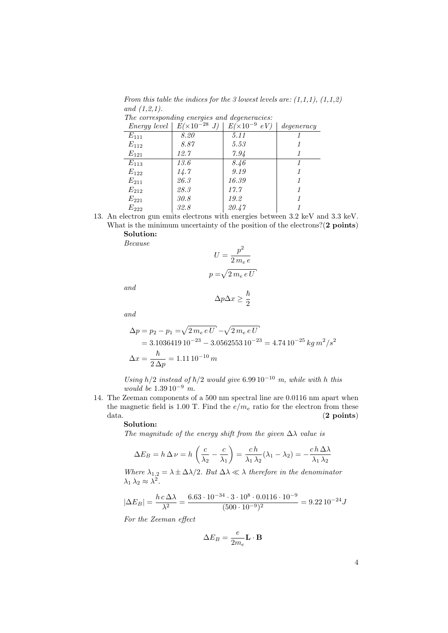From this table the indices for the 3 lowest levels are:  $(1,1,1)$ ,  $(1,1,2)$ and (1,2,1). The corresponding energies and degeneracies:

| $Energy$ level | $E(\times 10^{-28} J)$ | $E(\times 10^{-9} eV)$ | degeneracy |
|----------------|------------------------|------------------------|------------|
| $E_{111}$      | 8.20                   | 5.11                   |            |
| $E_{112}$      | 8.87                   | 5.53                   |            |
| $E_{121}$      | 12.7                   | 7.94                   |            |
| $E_{113}$      | 13.6                   | 8.46                   |            |
| $E_{122}$      | 14.7                   | 9.19                   |            |
| $E_{211}$      | 26.3                   | 16.39                  |            |
| $E_{212}$      | 28.3                   | 17.7                   |            |
| $E_{221}$      | 30.8                   | 19.2                   |            |
| $E_{222}$      | 32.8                   | 20.47                  |            |

13. An electron gun emits electrons with energies between 3.2 keV and 3.3 keV. What is the minimum uncertainty of the position of the electrons?(2 points)

Solution: Because

$$
U = \frac{p^2}{2 m_e e}
$$

$$
p = \sqrt{2 m_e e U}
$$

and

$$
\Delta p \Delta x \geq \frac{\hbar}{2}
$$

and

$$
\Delta p = p_2 - p_1 = \sqrt{2 m_e e U} - \sqrt{2 m_e e U}
$$
  
= 3.1036419 10<sup>-23</sup> - 3.0562553 10<sup>-23</sup> = 4.74 10<sup>-25</sup> kg m<sup>2</sup>/s<sup>2</sup>  

$$
\Delta x = \frac{\hbar}{2 \Delta p} = 1.11 10^{-10} m
$$

Using h/2 instead of  $\hbar/2$  would give 6.99 10<sup>-10</sup> m, while with h this would be  $1.39 10^{-9}$  m.

14. The Zeeman components of a 500 nm spectral line are 0.0116 nm apart when the magnetic field is 1.00 T. Find the  $e/m_e$  ratio for the electron from these  $data.$  (2 points)

### Solution:

The magnitude of the energy shift from the given  $\Delta\lambda$  value is

$$
\Delta E_B = h \Delta \nu = h \left( \frac{c}{\lambda_2} - \frac{c}{\lambda_1} \right) = \frac{c h}{\lambda_1 \lambda_2} (\lambda_1 - \lambda_2) = -\frac{c h \Delta \lambda}{\lambda_1 \lambda_2}
$$

Where  $\lambda_{1,2} = \lambda \pm \Delta \lambda/2$ . But  $\Delta \lambda \ll \lambda$  therefore in the denominator  $\lambda_1 \lambda_2 \approx \lambda^2$ .

$$
|\Delta E_B| = \frac{h \, c \, \Delta \lambda}{\lambda^2} = \frac{6.63 \cdot 10^{-34} \cdot 3 \cdot 10^8 \cdot 0.0116 \cdot 10^{-9}}{(500 \cdot 10^{-9})^2} = 9.22 \, 10^{-24} J
$$

For the Zeeman effect

$$
\Delta E_B = \frac{e}{2m_e} \mathbf{L} \cdot \mathbf{B}
$$